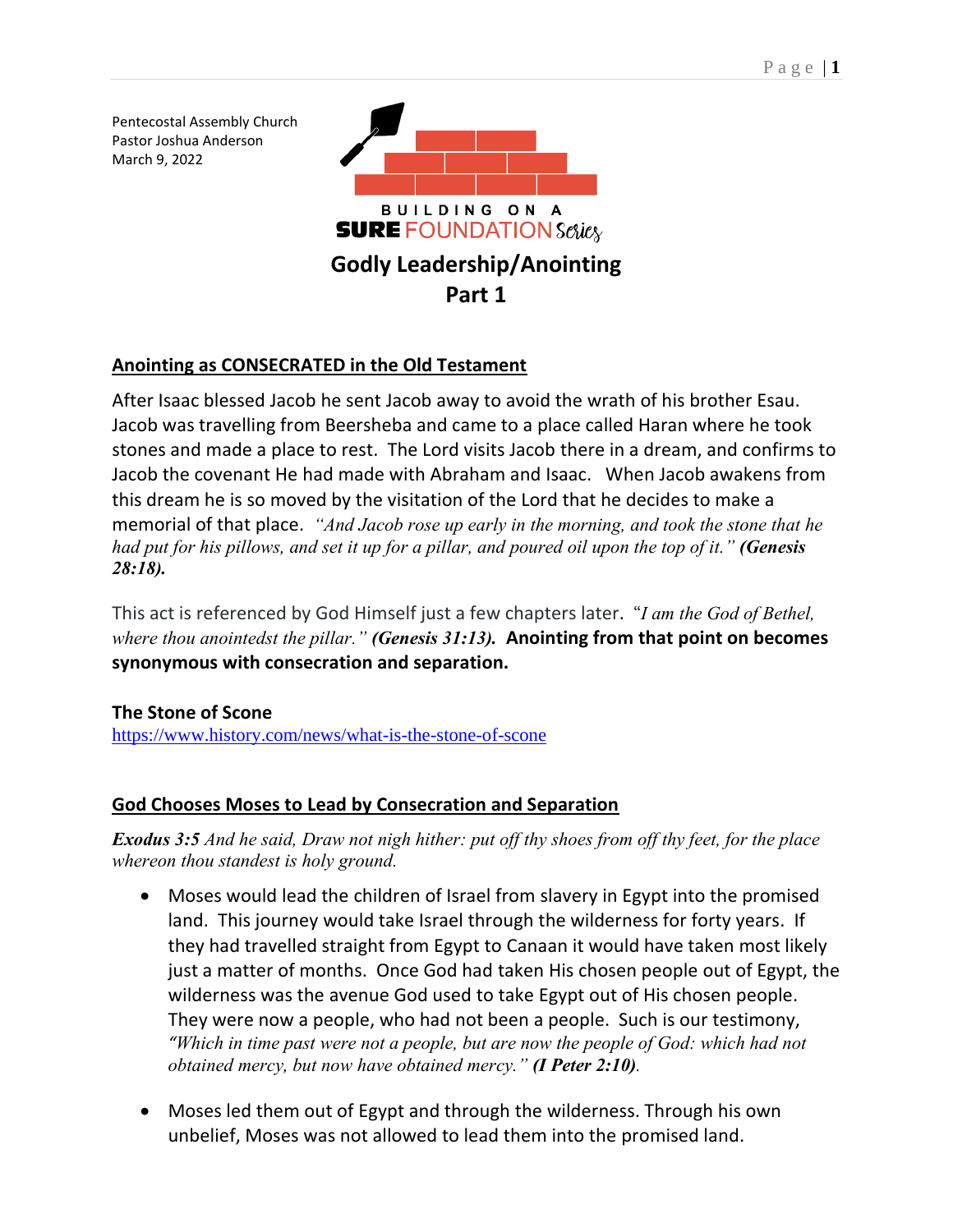Pentecostal Assembly Church Pastor Joshua Anderson March 9, 2022



# **Anointing as CONSECRATED in the Old Testament**

After Isaac blessed Jacob he sent Jacob away to avoid the wrath of his brother Esau. Jacob was travelling from Beersheba and came to a place called Haran where he took stones and made a place to rest. The Lord visits Jacob there in a dream, and confirms to Jacob the covenant He had made with Abraham and Isaac. When Jacob awakens from this dream he is so moved by the visitation of the Lord that he decides to make a memorial of that place. *"And Jacob rose up early in the morning, and took the stone that he had put for his pillows, and set it up for a pillar, and poured oil upon the top of it." (Genesis 28:18).*

This act is referenced by God Himself just a few chapters later. "*I am the God of Bethel, where thou anointedst the pillar." (Genesis 31:13).* **Anointing from that point on becomes synonymous with consecration and separation.**

## **The Stone of Scone**

<https://www.history.com/news/what-is-the-stone-of-scone>

## **God Chooses Moses to Lead by Consecration and Separation**

*Exodus 3:5 And he said, Draw not nigh hither: put off thy shoes from off thy feet, for the place whereon thou standest is holy ground.*

- Moses would lead the children of Israel from slavery in Egypt into the promised land. This journey would take Israel through the wilderness for forty years. If they had travelled straight from Egypt to Canaan it would have taken most likely just a matter of months. Once God had taken His chosen people out of Egypt, the wilderness was the avenue God used to take Egypt out of His chosen people. They were now a people, who had not been a people. Such is our testimony, *"Which in time past were not a people, but are now the people of God: which had not obtained mercy, but now have obtained mercy." (I Peter 2:10).*
- Moses led them out of Egypt and through the wilderness. Through his own unbelief, Moses was not allowed to lead them into the promised land.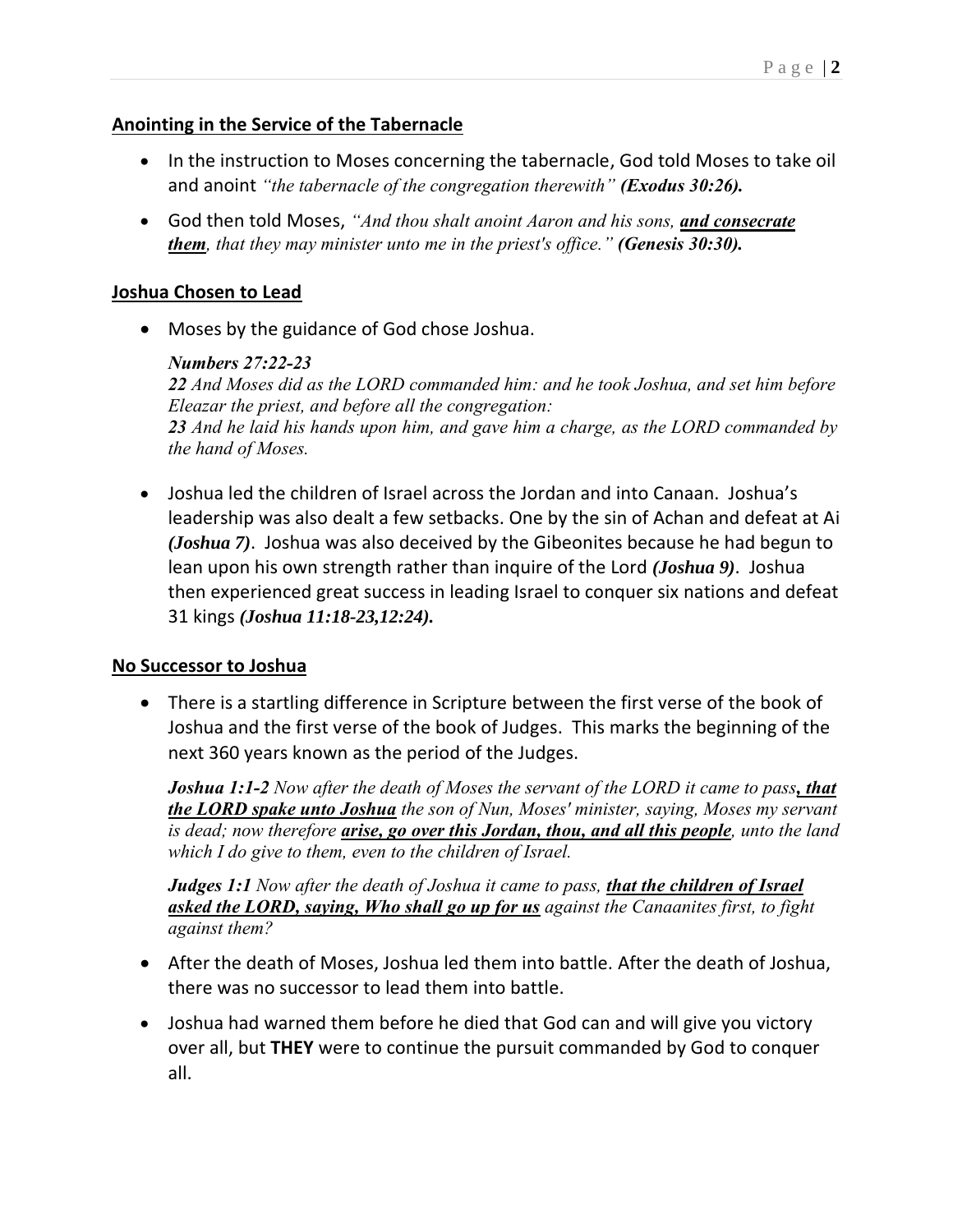## **Anointing in the Service of the Tabernacle**

- In the instruction to Moses concerning the tabernacle, God told Moses to take oil and anoint *"the tabernacle of the congregation therewith" (Exodus 30:26).*
- God then told Moses, *"And thou shalt anoint Aaron and his sons, and consecrate them, that they may minister unto me in the priest's office." (Genesis 30:30).*

## **Joshua Chosen to Lead**

• Moses by the guidance of God chose Joshua.

### *Numbers 27:22-23*

*22 And Moses did as the LORD commanded him: and he took Joshua, and set him before Eleazar the priest, and before all the congregation: 23 And he laid his hands upon him, and gave him a charge, as the LORD commanded by the hand of Moses.*

• Joshua led the children of Israel across the Jordan and into Canaan. Joshua's leadership was also dealt a few setbacks. One by the sin of Achan and defeat at Ai *(Joshua 7)*. Joshua was also deceived by the Gibeonites because he had begun to lean upon his own strength rather than inquire of the Lord *(Joshua 9)*. Joshua then experienced great success in leading Israel to conquer six nations and defeat 31 kings *(Joshua 11:18-23,12:24).*

## **No Successor to Joshua**

• There is a startling difference in Scripture between the first verse of the book of Joshua and the first verse of the book of Judges. This marks the beginning of the next 360 years known as the period of the Judges.

*Joshua 1:1-2 Now after the death of Moses the servant of the LORD it came to pass, that the LORD spake unto Joshua the son of Nun, Moses' minister, saying, Moses my servant is dead; now therefore arise, go over this Jordan, thou, and all this people, unto the land which I do give to them, even to the children of Israel.*

*Judges 1:1 Now after the death of Joshua it came to pass, that the children of Israel asked the LORD, saying, Who shall go up for us against the Canaanites first, to fight against them?*

- After the death of Moses, Joshua led them into battle. After the death of Joshua, there was no successor to lead them into battle.
- Joshua had warned them before he died that God can and will give you victory over all, but **THEY** were to continue the pursuit commanded by God to conquer all.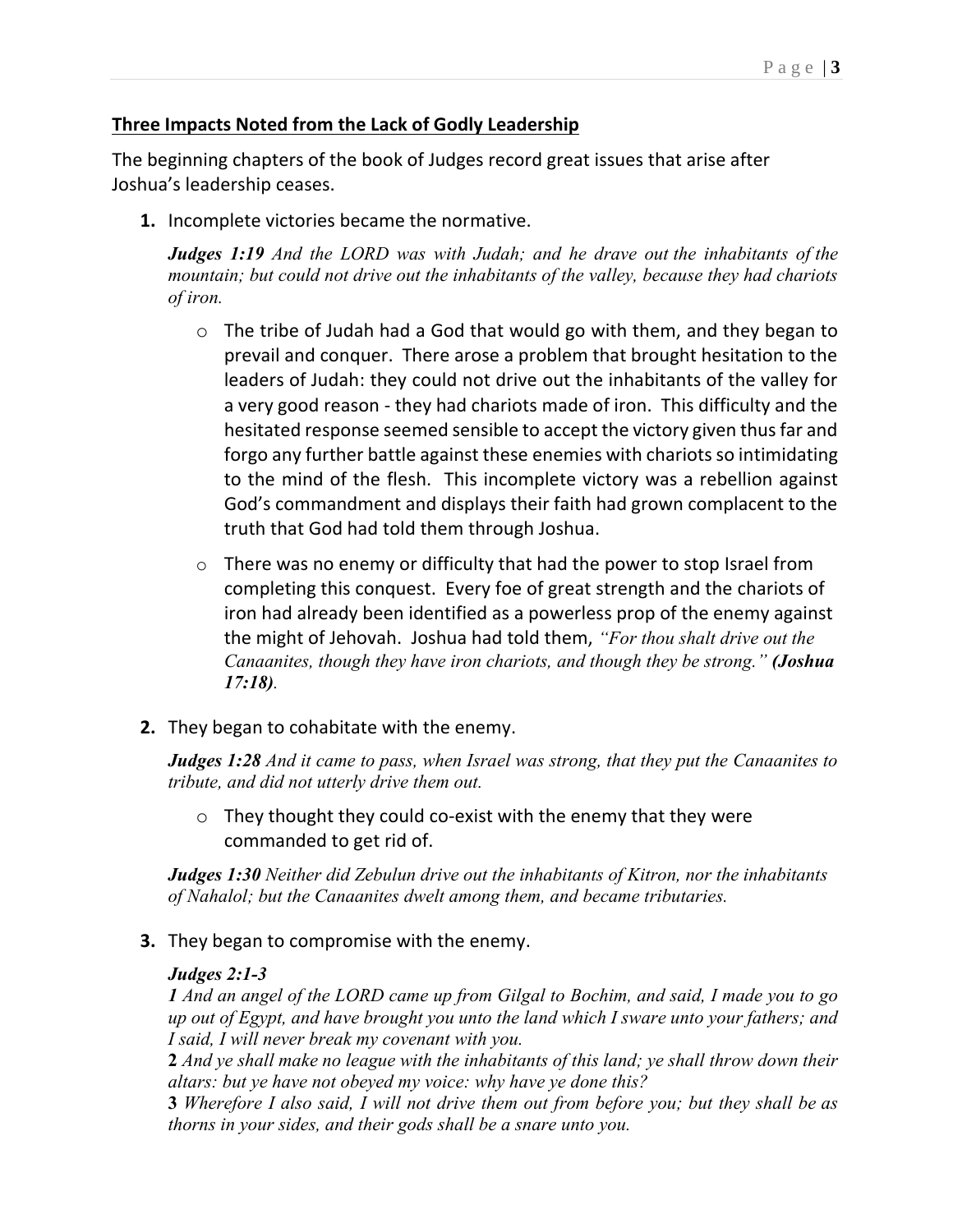### **Three Impacts Noted from the Lack of Godly Leadership**

The beginning chapters of the book of Judges record great issues that arise after Joshua's leadership ceases.

**1.** Incomplete victories became the normative.

*Judges 1:19 And the LORD was with Judah; and he drave out the inhabitants of the mountain; but could not drive out the inhabitants of the valley, because they had chariots of iron.*

- o The tribe of Judah had a God that would go with them, and they began to prevail and conquer. There arose a problem that brought hesitation to the leaders of Judah: they could not drive out the inhabitants of the valley for a very good reason - they had chariots made of iron. This difficulty and the hesitated response seemed sensible to accept the victory given thus far and forgo any further battle against these enemies with chariots so intimidating to the mind of the flesh. This incomplete victory was a rebellion against God's commandment and displays their faith had grown complacent to the truth that God had told them through Joshua.
- o There was no enemy or difficulty that had the power to stop Israel from completing this conquest. Every foe of great strength and the chariots of iron had already been identified as a powerless prop of the enemy against the might of Jehovah. Joshua had told them, *"For thou shalt drive out the Canaanites, though they have iron chariots, and though they be strong." (Joshua 17:18).*
- **2.** They began to cohabitate with the enemy.

*Judges 1:28 And it came to pass, when Israel was strong, that they put the Canaanites to tribute, and did not utterly drive them out.*

 $\circ$  They thought they could co-exist with the enemy that they were commanded to get rid of.

*Judges 1:30 Neither did Zebulun drive out the inhabitants of Kitron, nor the inhabitants of Nahalol; but the Canaanites dwelt among them, and became tributaries.*

**3.** They began to compromise with the enemy.

#### *Judges 2:1-3*

*1 And an angel of the LORD came up from Gilgal to Bochim, and said, I made you to go up out of Egypt, and have brought you unto the land which I sware unto your fathers; and I said, I will never break my covenant with you.*

**2** *And ye shall make no league with the inhabitants of this land; ye shall throw down their altars: but ye have not obeyed my voice: why have ye done this?*

**3** *Wherefore I also said, I will not drive them out from before you; but they shall be as thorns in your sides, and their gods shall be a snare unto you.*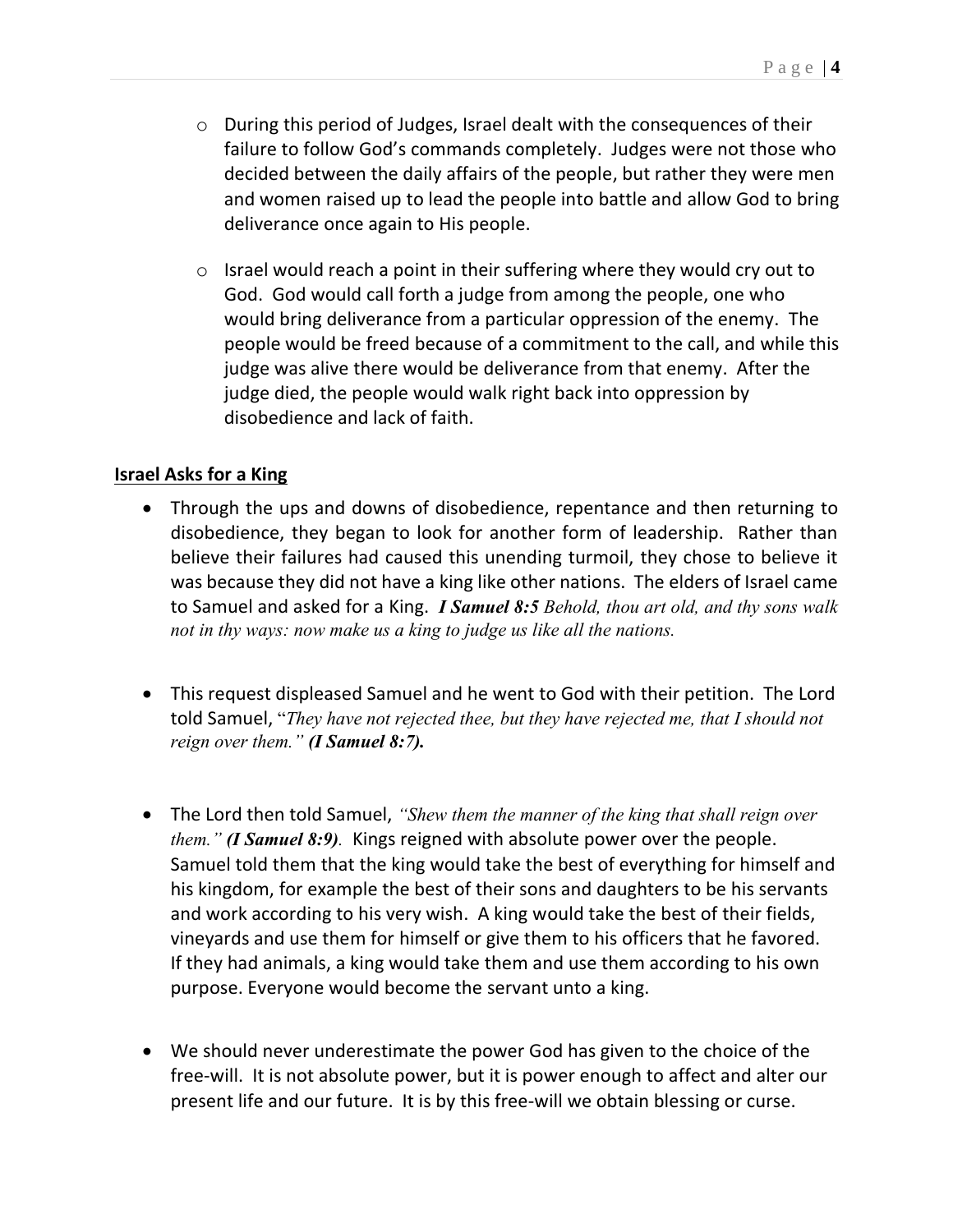- $\circ$  During this period of Judges, Israel dealt with the consequences of their failure to follow God's commands completely. Judges were not those who decided between the daily affairs of the people, but rather they were men and women raised up to lead the people into battle and allow God to bring deliverance once again to His people.
- $\circ$  Israel would reach a point in their suffering where they would cry out to God. God would call forth a judge from among the people, one who would bring deliverance from a particular oppression of the enemy. The people would be freed because of a commitment to the call, and while this judge was alive there would be deliverance from that enemy. After the judge died, the people would walk right back into oppression by disobedience and lack of faith.

## **Israel Asks for a King**

- Through the ups and downs of disobedience, repentance and then returning to disobedience, they began to look for another form of leadership. Rather than believe their failures had caused this unending turmoil, they chose to believe it was because they did not have a king like other nations. The elders of Israel came to Samuel and asked for a King. *I Samuel 8:5 Behold, thou art old, and thy sons walk not in thy ways: now make us a king to judge us like all the nations.*
- This request displeased Samuel and he went to God with their petition. The Lord told Samuel, "*They have not rejected thee, but they have rejected me, that I should not reign over them." (I Samuel 8:7).*
- The Lord then told Samuel, *"Shew them the manner of the king that shall reign over them." (I Samuel 8:9).* Kings reigned with absolute power over the people. Samuel told them that the king would take the best of everything for himself and his kingdom, for example the best of their sons and daughters to be his servants and work according to his very wish. A king would take the best of their fields, vineyards and use them for himself or give them to his officers that he favored. If they had animals, a king would take them and use them according to his own purpose. Everyone would become the servant unto a king.
- We should never underestimate the power God has given to the choice of the free-will. It is not absolute power, but it is power enough to affect and alter our present life and our future. It is by this free-will we obtain blessing or curse.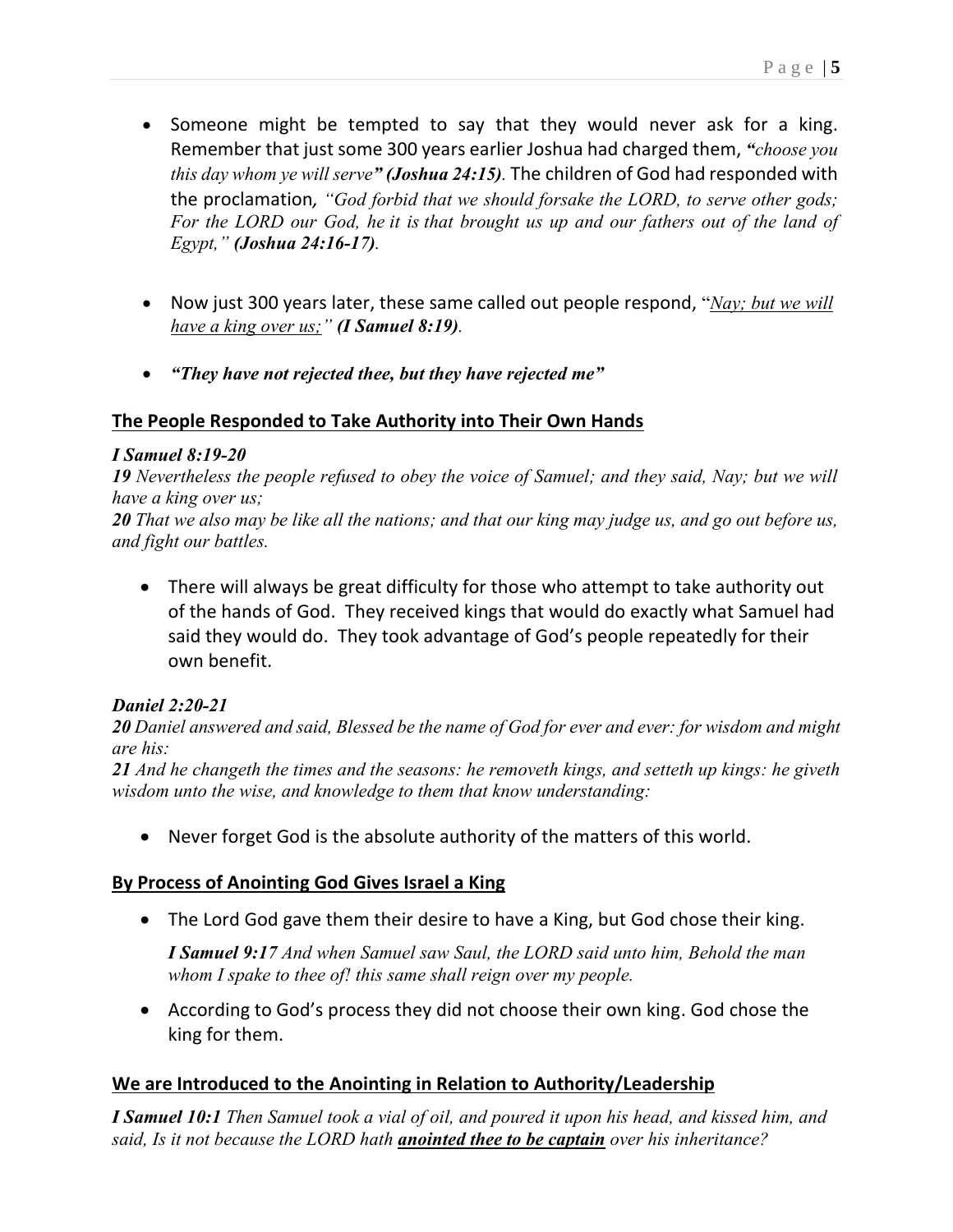- Someone might be tempted to say that they would never ask for a king. Remember that just some 300 years earlier Joshua had charged them, *"choose you this day whom ye will serve" (Joshua 24:15).* The children of God had responded with the proclamation*, "God forbid that we should forsake the LORD, to serve other gods; For the LORD our God, he it is that brought us up and our fathers out of the land of Egypt," (Joshua 24:16-17).*
- Now just 300 years later, these same called out people respond, "*Nay; but we will have a king over us;" (I Samuel 8:19).*
- *"They have not rejected thee, but they have rejected me"*

## **The People Responded to Take Authority into Their Own Hands**

### *I Samuel 8:19-20*

*19 Nevertheless the people refused to obey the voice of Samuel; and they said, Nay; but we will have a king over us;*

*20 That we also may be like all the nations; and that our king may judge us, and go out before us, and fight our battles.*

• There will always be great difficulty for those who attempt to take authority out of the hands of God. They received kings that would do exactly what Samuel had said they would do. They took advantage of God's people repeatedly for their own benefit.

## *Daniel 2:20-21*

*20 Daniel answered and said, Blessed be the name of God for ever and ever: for wisdom and might are his:*

*21 And he changeth the times and the seasons: he removeth kings, and setteth up kings: he giveth wisdom unto the wise, and knowledge to them that know understanding:*

• Never forget God is the absolute authority of the matters of this world.

## **By Process of Anointing God Gives Israel a King**

• The Lord God gave them their desire to have a King, but God chose their king.

*I Samuel 9:17 And when Samuel saw Saul, the LORD said unto him, Behold the man whom I spake to thee of! this same shall reign over my people.*

• According to God's process they did not choose their own king. God chose the king for them.

# **We are Introduced to the Anointing in Relation to Authority/Leadership**

*I Samuel 10:1 Then Samuel took a vial of oil, and poured it upon his head, and kissed him, and said, Is it not because the LORD hath anointed thee to be captain over his inheritance?*